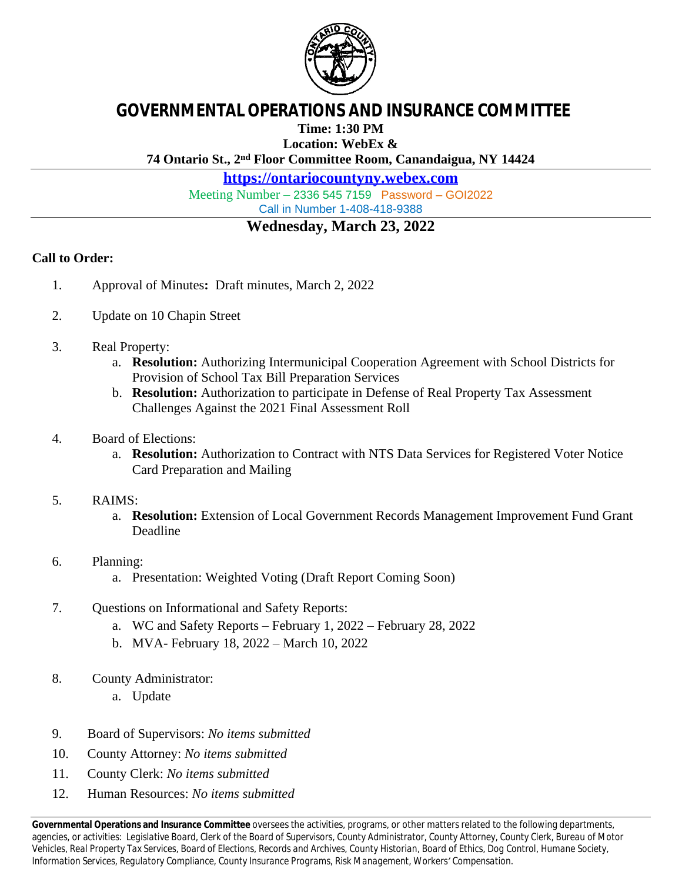

## **GOVERNMENTAL OPERATIONS AND INSURANCE COMMITTEE**

**Time: 1:30 PM**

**Location: WebEx &**

**74 Ontario St., 2nd Floor Committee Room, Canandaigua, NY 14424**

**<https://ontariocountyny.webex.com>**

Meeting Number – 2336 545 7159 Password – GOI2022 Call in Number 1-408-418-9388

## **Wednesday, March 23, 2022**

## **Call to Order:**

- 1. Approval of Minutes**:** Draft minutes, March 2, 2022
- 2. Update on 10 Chapin Street
- 3. Real Property:
	- a. **Resolution:** Authorizing Intermunicipal Cooperation Agreement with School Districts for Provision of School Tax Bill Preparation Services
	- b. **Resolution:** Authorization to participate in Defense of Real Property Tax Assessment Challenges Against the 2021 Final Assessment Roll
- 4. Board of Elections:
	- a. **Resolution:** Authorization to Contract with NTS Data Services for Registered Voter Notice Card Preparation and Mailing
- 5. RAIMS:
	- a. **Resolution:** Extension of Local Government Records Management Improvement Fund Grant Deadline
- 6. Planning:
	- a. Presentation: Weighted Voting (Draft Report Coming Soon)
- 7. Questions on Informational and Safety Reports:
	- a. WC and Safety Reports February 1, 2022 February 28, 2022
	- b. MVA- February 18, 2022 March 10, 2022
- 8. County Administrator:
	- a. Update
- 9. Board of Supervisors: *No items submitted*
- 10. County Attorney: *No items submitted*
- 11. County Clerk: *No items submitted*
- 12. Human Resources: *No items submitted*

**Governmental Operations and Insurance Committee** oversees the activities, programs, or other matters related to the following departments, agencies, or activities: *Legislative Board, Clerk of the Board of Supervisors, County Administrator, County Attorney, County Clerk, Bureau of Motor Vehicles, Real Property Tax Services, Board of Elections, Records and Archives, County Historian, Board of Ethics, Dog Control, Humane Society, Information Services, Regulatory Compliance, County Insurance Programs, Risk Management, Workers' Compensation.*